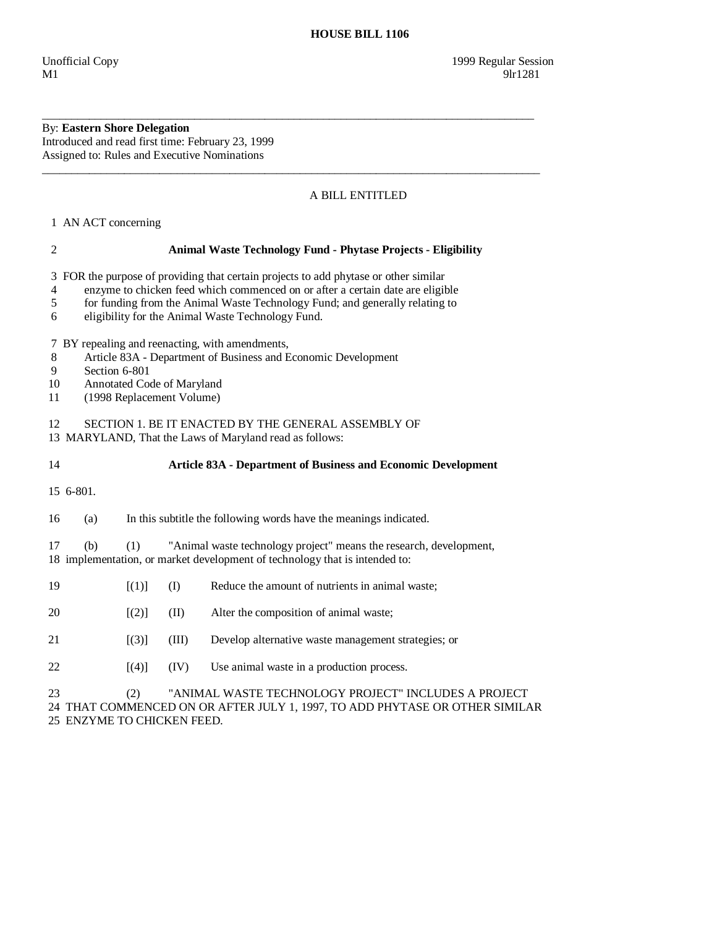## By: **Eastern Shore Delegation**  Introduced and read first time: February 23, 1999 Assigned to: Rules and Executive Nominations

## A BILL ENTITLED

1 AN ACT concerning

## 2 **Animal Waste Technology Fund - Phytase Projects - Eligibility**  3 FOR the purpose of providing that certain projects to add phytase or other similar 4 enzyme to chicken feed which commenced on or after a certain date are eligible 5 for funding from the Animal Waste Technology Fund; and generally relating to 6 eligibility for the Animal Waste Technology Fund. 7 BY repealing and reenacting, with amendments, 8 Article 83A - Department of Business and Economic Development 9 Section 6-801 10 Annotated Code of Maryland 11 (1998 Replacement Volume) 12 SECTION 1. BE IT ENACTED BY THE GENERAL ASSEMBLY OF 13 MARYLAND, That the Laws of Maryland read as follows: 14 **Article 83A - Department of Business and Economic Development**  15 6-801. 16 (a) In this subtitle the following words have the meanings indicated. 17 (b) (1) "Animal waste technology project" means the research, development, 18 implementation, or market development of technology that is intended to: 19 [(1)] (I) Reduce the amount of nutrients in animal waste;  $20$  [(2)] (II) Alter the composition of animal waste; 21 [(3)] (III) Develop alternative waste management strategies; or  $[4]$   $[1]$   $[1]$   $[1]$   $[1]$   $[1]$   $[1]$   $[1]$   $[1]$   $[1]$   $[1]$   $[1]$   $[1]$   $[1]$   $[1]$   $[1]$   $[1]$   $[1]$   $[1]$   $[1]$   $[1]$   $[1]$   $[1]$   $[1]$   $[1]$   $[1]$   $[1]$   $[1]$   $[1]$   $[1]$   $[1]$   $[1]$   $[1]$   $[1]$   $[1]$   $[1]$   $[1]$  23 (2) "ANIMAL WASTE TECHNOLOGY PROJECT" INCLUDES A PROJECT 24 THAT COMMENCED ON OR AFTER JULY 1, 1997, TO ADD PHYTASE OR OTHER SIMILAR 25 ENZYME TO CHICKEN FEED.

\_\_\_\_\_\_\_\_\_\_\_\_\_\_\_\_\_\_\_\_\_\_\_\_\_\_\_\_\_\_\_\_\_\_\_\_\_\_\_\_\_\_\_\_\_\_\_\_\_\_\_\_\_\_\_\_\_\_\_\_\_\_\_\_\_\_\_\_\_\_\_\_\_\_\_\_\_\_\_\_\_\_\_\_

\_\_\_\_\_\_\_\_\_\_\_\_\_\_\_\_\_\_\_\_\_\_\_\_\_\_\_\_\_\_\_\_\_\_\_\_\_\_\_\_\_\_\_\_\_\_\_\_\_\_\_\_\_\_\_\_\_\_\_\_\_\_\_\_\_\_\_\_\_\_\_\_\_\_\_\_\_\_\_\_\_\_\_\_\_